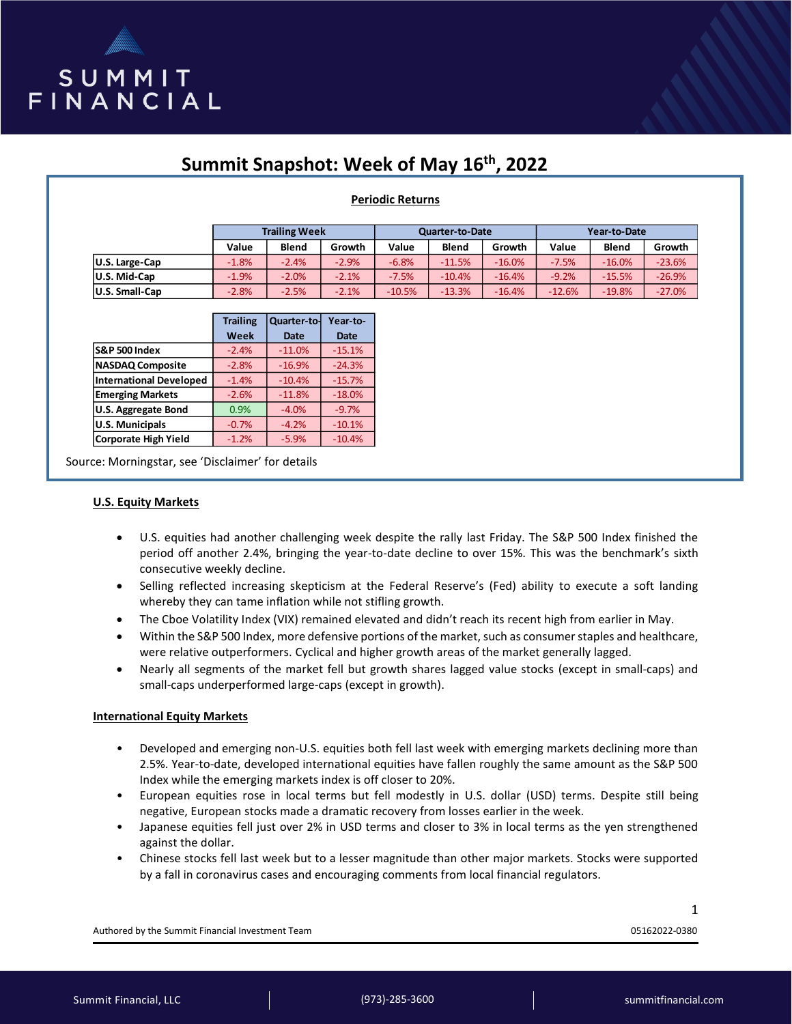

# **Summit Snapshot: Week of May 16th, 2022**

# **Periodic Returns**

|                | <b>Trailing Week</b> |              |         | <b>Quarter-to-Date</b> |              |          | Year-to-Date |              |          |
|----------------|----------------------|--------------|---------|------------------------|--------------|----------|--------------|--------------|----------|
|                | Value                | <b>Blend</b> | Growth  | Value                  | <b>Blend</b> | Growth   | Value        | <b>Blend</b> | Growth   |
| U.S. Large-Cap | $-1.8%$              | $-2.4%$      | $-2.9%$ | $-6.8%$                | $-11.5%$     | $-16.0%$ | $-7.5%$      | $-16.0%$     | $-23.6%$ |
| U.S. Mid-Cap   | $-1.9%$              | $-2.0%$      | $-2.1%$ | $-7.5%$                | $-10.4%$     | $-16.4%$ | $-9.2%$      | $-15.5%$     | $-26.9%$ |
| U.S. Small-Cap | $-2.8%$              | $-2.5%$      | $-2.1%$ | $-10.5%$               | $-13.3%$     | $-16.4%$ | $-12.6%$     | $-19.8%$     | $-27.0%$ |

|                                | <b>Trailing</b> | Quarter-to- | Year-to-    |  |
|--------------------------------|-----------------|-------------|-------------|--|
|                                | Week            | <b>Date</b> | <b>Date</b> |  |
| <b>S&amp;P 500 Index</b>       | $-2.4%$         | $-11.0%$    | $-15.1%$    |  |
| <b>NASDAQ Composite</b>        | $-2.8%$         | $-16.9%$    | $-24.3%$    |  |
| <b>International Developed</b> | $-1.4%$         | $-10.4%$    | $-15.7%$    |  |
| <b>Emerging Markets</b>        | $-2.6%$         | $-11.8%$    | $-18.0%$    |  |
| <b>U.S. Aggregate Bond</b>     | 0.9%            | $-4.0%$     | $-9.7%$     |  |
| <b>U.S. Municipals</b>         | $-0.7%$         | $-4.2%$     | $-10.1%$    |  |
| <b>Corporate High Yield</b>    | $-1.2%$         | $-5.9%$     | $-10.4%$    |  |

Source: Morningstar, see 'Disclaimer' for details

#### **U.S. Equity Markets**

- U.S. equities had another challenging week despite the rally last Friday. The S&P 500 Index finished the period off another 2.4%, bringing the year-to-date decline to over 15%. This was the benchmark's sixth consecutive weekly decline.
- Selling reflected increasing skepticism at the Federal Reserve's (Fed) ability to execute a soft landing whereby they can tame inflation while not stifling growth.
- The Cboe Volatility Index (VIX) remained elevated and didn't reach its recent high from earlier in May.
- Within the S&P 500 Index, more defensive portions of the market, such as consumer staples and healthcare, were relative outperformers. Cyclical and higher growth areas of the market generally lagged.
- Nearly all segments of the market fell but growth shares lagged value stocks (except in small-caps) and small-caps underperformed large-caps (except in growth).

# **International Equity Markets**

- Developed and emerging non-U.S. equities both fell last week with emerging markets declining more than 2.5%. Year-to-date, developed international equities have fallen roughly the same amount as the S&P 500 Index while the emerging markets index is off closer to 20%.
- European equities rose in local terms but fell modestly in U.S. dollar (USD) terms. Despite still being negative, European stocks made a dramatic recovery from losses earlier in the week.
- Japanese equities fell just over 2% in USD terms and closer to 3% in local terms as the yen strengthened against the dollar.
- Chinese stocks fell last week but to a lesser magnitude than other major markets. Stocks were supported by a fall in coronavirus cases and encouraging comments from local financial regulators.

Authored by the Summit Financial Investment Team 05162022-0380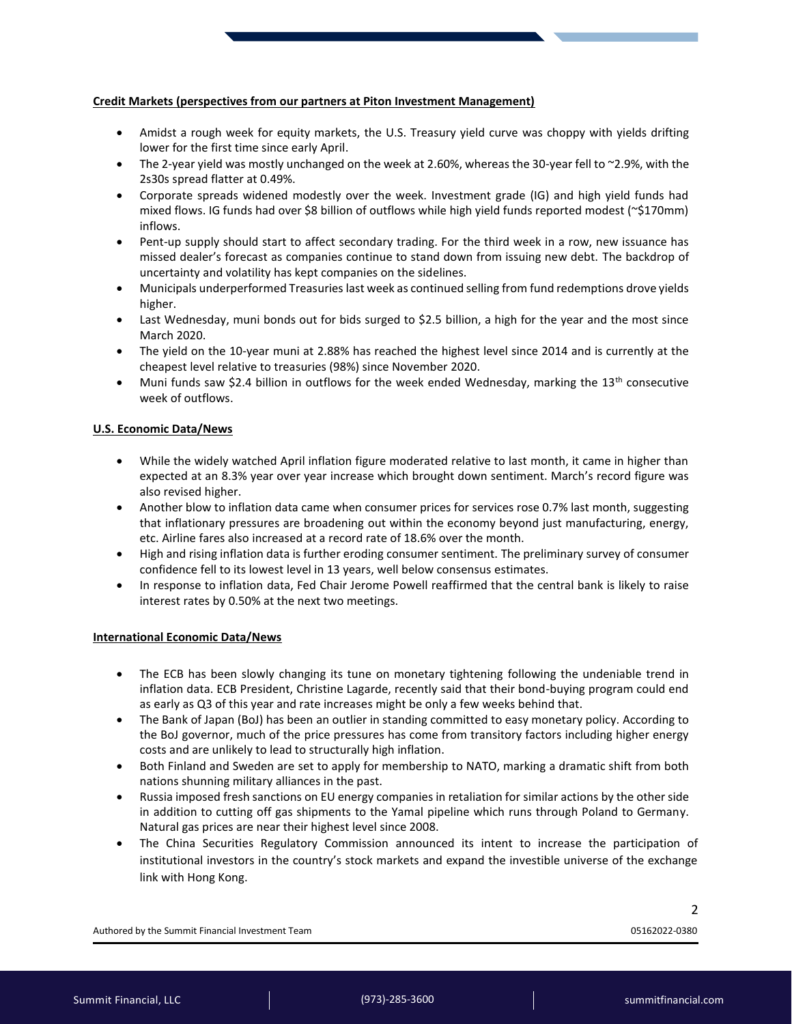# **Credit Markets (perspectives from our partners at Piton Investment Management)**

- Amidst a rough week for equity markets, the U.S. Treasury yield curve was choppy with yields drifting lower for the first time since early April.
- The 2-year yield was mostly unchanged on the week at 2.60%, whereas the 30-year fell to ~2.9%, with the 2s30s spread flatter at 0.49%.
- Corporate spreads widened modestly over the week. Investment grade (IG) and high yield funds had mixed flows. IG funds had over \$8 billion of outflows while high yield funds reported modest (~\$170mm) inflows.
- Pent-up supply should start to affect secondary trading. For the third week in a row, new issuance has missed dealer's forecast as companies continue to stand down from issuing new debt. The backdrop of uncertainty and volatility has kept companies on the sidelines.
- Municipals underperformed Treasuries last week as continued selling from fund redemptions drove yields higher.
- Last Wednesday, muni bonds out for bids surged to \$2.5 billion, a high for the year and the most since March 2020.
- The yield on the 10-year muni at 2.88% has reached the highest level since 2014 and is currently at the cheapest level relative to treasuries (98%) since November 2020.
- Muni funds saw \$2.4 billion in outflows for the week ended Wednesday, marking the  $13<sup>th</sup>$  consecutive week of outflows.

#### **U.S. Economic Data/News**

- While the widely watched April inflation figure moderated relative to last month, it came in higher than expected at an 8.3% year over year increase which brought down sentiment. March's record figure was also revised higher.
- Another blow to inflation data came when consumer prices for services rose 0.7% last month, suggesting that inflationary pressures are broadening out within the economy beyond just manufacturing, energy, etc. Airline fares also increased at a record rate of 18.6% over the month.
- High and rising inflation data is further eroding consumer sentiment. The preliminary survey of consumer confidence fell to its lowest level in 13 years, well below consensus estimates.
- In response to inflation data, Fed Chair Jerome Powell reaffirmed that the central bank is likely to raise interest rates by 0.50% at the next two meetings.

# **International Economic Data/News**

- The ECB has been slowly changing its tune on monetary tightening following the undeniable trend in inflation data. ECB President, Christine Lagarde, recently said that their bond-buying program could end as early as Q3 of this year and rate increases might be only a few weeks behind that.
- The Bank of Japan (BoJ) has been an outlier in standing committed to easy monetary policy. According to the BoJ governor, much of the price pressures has come from transitory factors including higher energy costs and are unlikely to lead to structurally high inflation.
- Both Finland and Sweden are set to apply for membership to NATO, marking a dramatic shift from both nations shunning military alliances in the past.
- Russia imposed fresh sanctions on EU energy companies in retaliation for similar actions by the other side in addition to cutting off gas shipments to the Yamal pipeline which runs through Poland to Germany. Natural gas prices are near their highest level since 2008.
- The China Securities Regulatory Commission announced its intent to increase the participation of institutional investors in the country's stock markets and expand the investible universe of the exchange link with Hong Kong.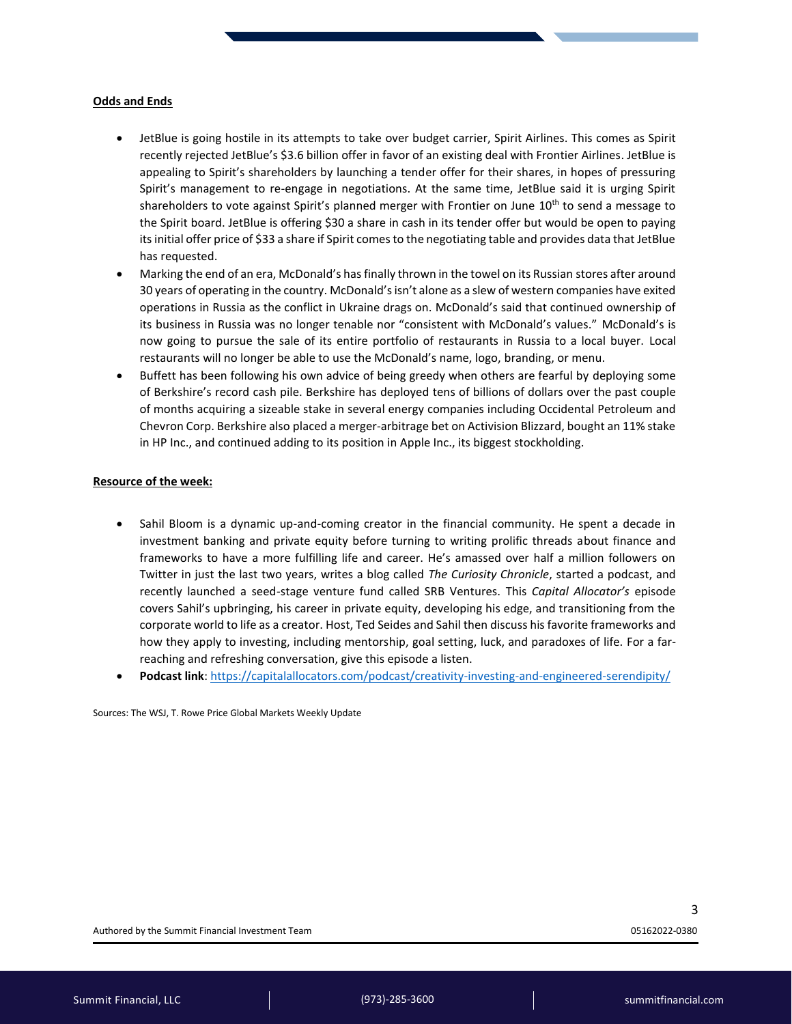#### **Odds and Ends**

- JetBlue is going hostile in its attempts to take over budget carrier, Spirit Airlines. This comes as Spirit recently rejected JetBlue's \$3.6 billion offer in favor of an existing deal with Frontier Airlines. JetBlue is appealing to Spirit's shareholders by launching a tender offer for their shares, in hopes of pressuring Spirit's management to re-engage in negotiations. At the same time, JetBlue said it is urging Spirit shareholders to vote against Spirit's planned merger with Frontier on June  $10^{th}$  to send a message to the Spirit board. JetBlue is offering \$30 a share in cash in its tender offer but would be open to paying its initial offer price of \$33 a share if Spirit comes to the negotiating table and provides data that JetBlue has requested.
- Marking the end of an era, McDonald's has finally thrown in the towel on its Russian stores after around 30 years of operating in the country. McDonald'sisn't alone as a slew of western companies have exited operations in Russia as the conflict in Ukraine drags on. McDonald's said that continued ownership of its business in Russia was no longer tenable nor "consistent with McDonald's values." McDonald's is now going to pursue the sale of its entire portfolio of restaurants in Russia to a local buyer. Local restaurants will no longer be able to use the McDonald's name, logo, branding, or menu.
- Buffett has been following his own advice of being greedy when others are fearful by deploying some of Berkshire's record cash pile. Berkshire has deployed tens of billions of dollars over the past couple of months acquiring a sizeable stake in several energy companies including Occidental Petroleum and Chevron Corp. Berkshire also placed a merger-arbitrage bet on Activision Blizzard, bought an 11% stake in HP Inc., and continued adding to its position in Apple Inc., its biggest stockholding.

#### **Resource of the week:**

- Sahil Bloom is a dynamic up-and-coming creator in the financial community. He spent a decade in investment banking and private equity before turning to writing prolific threads about finance and frameworks to have a more fulfilling life and career. He's amassed over half a million followers on Twitter in just the last two years, writes a blog called *The Curiosity Chronicle*, started a podcast, and recently launched a seed-stage venture fund called SRB Ventures. This *Capital Allocator's* episode covers Sahil's upbringing, his career in private equity, developing his edge, and transitioning from the corporate world to life as a creator. Host, Ted Seides and Sahil then discuss his favorite frameworks and how they apply to investing, including mentorship, goal setting, luck, and paradoxes of life. For a farreaching and refreshing conversation, give this episode a listen.
- **Podcast link**:<https://capitalallocators.com/podcast/creativity-investing-and-engineered-serendipity/>

Sources: The WSJ, T. Rowe Price Global Markets Weekly Update